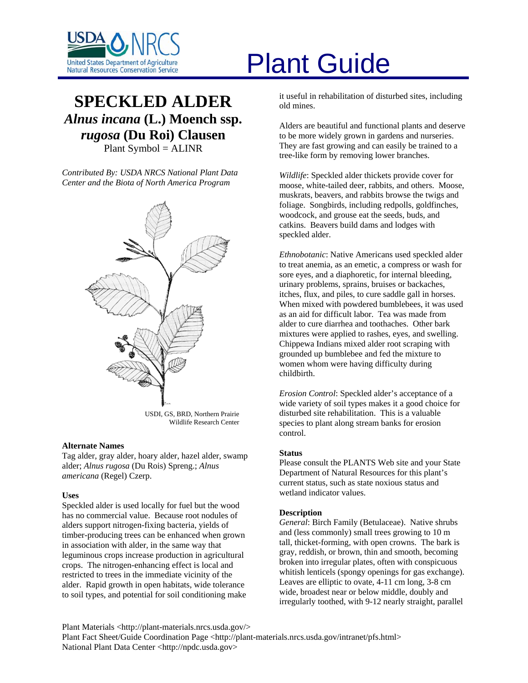

# **SPECKLED ALDER** *Alnus incana* **(L.) Moench ssp.**  *rugosa* **(Du Roi) Clausen** Plant Symbol = ALINR

*Contributed By: USDA NRCS National Plant Data Center and the Biota of North America Program* 



USDI, GS, BRD, Northern Prairie Wildlife Research Center

## **Alternate Names**

Tag alder, gray alder, hoary alder, hazel alder, swamp alder; *Alnus rugosa* (Du Rois) Spreng.; *Alnus americana* (Regel) Czerp.

## **Uses**

Speckled alder is used locally for fuel but the wood has no commercial value. Because root nodules of alders support nitrogen-fixing bacteria, yields of timber-producing trees can be enhanced when grown in association with alder, in the same way that leguminous crops increase production in agricultural crops. The nitrogen-enhancing effect is local and restricted to trees in the immediate vicinity of the alder. Rapid growth in open habitats, wide tolerance to soil types, and potential for soil conditioning make

# United States Department of Agriculture<br>Natural Resources Conservation Service

it useful in rehabilitation of disturbed sites, including old mines.

Alders are beautiful and functional plants and deserve to be more widely grown in gardens and nurseries. They are fast growing and can easily be trained to a tree-like form by removing lower branches.

*Wildlife*: Speckled alder thickets provide cover for moose, white-tailed deer, rabbits, and others. Moose, muskrats, beavers, and rabbits browse the twigs and foliage. Songbirds, including redpolls, goldfinches, woodcock, and grouse eat the seeds, buds, and catkins. Beavers build dams and lodges with speckled alder.

*Ethnobotanic*: Native Americans used speckled alder to treat anemia, as an emetic, a compress or wash for sore eyes, and a diaphoretic, for internal bleeding, urinary problems, sprains, bruises or backaches, itches, flux, and piles, to cure saddle gall in horses. When mixed with powdered bumblebees, it was used as an aid for difficult labor. Tea was made from alder to cure diarrhea and toothaches. Other bark mixtures were applied to rashes, eyes, and swelling. Chippewa Indians mixed alder root scraping with grounded up bumblebee and fed the mixture to women whom were having difficulty during childbirth.

*Erosion Control*: Speckled alder's acceptance of a wide variety of soil types makes it a good choice for disturbed site rehabilitation. This is a valuable species to plant along stream banks for erosion control.

#### **Status**

Please consult the PLANTS Web site and your State Department of Natural Resources for this plant's current status, such as state noxious status and wetland indicator values.

# **Description**

*General*: Birch Family (Betulaceae). Native shrubs and (less commonly) small trees growing to 10 m tall, thicket-forming, with open crowns. The bark is gray, reddish, or brown, thin and smooth, becoming broken into irregular plates, often with conspicuous whitish lenticels (spongy openings for gas exchange). Leaves are elliptic to ovate, 4-11 cm long, 3-8 cm wide, broadest near or below middle, doubly and irregularly toothed, with 9-12 nearly straight, parallel

Plant Materials <http://plant-materials.nrcs.usda.gov/> Plant Fact Sheet/Guide Coordination Page <http://plant-materials.nrcs.usda.gov/intranet/pfs.html> National Plant Data Center <http://npdc.usda.gov>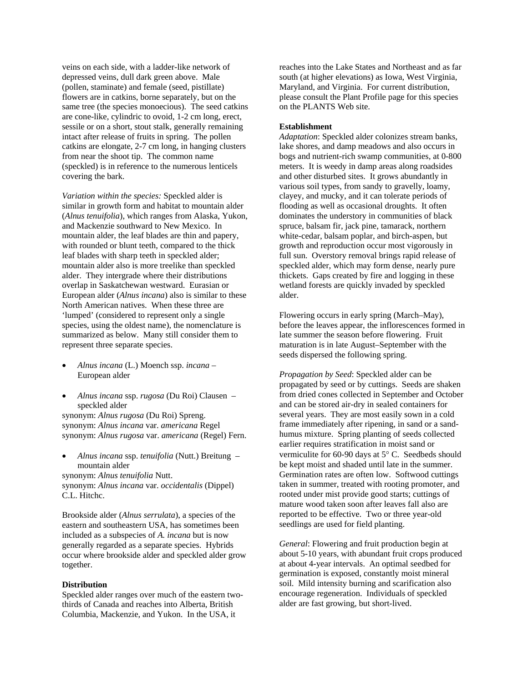veins on each side, with a ladder-like network of depressed veins, dull dark green above. Male (pollen, staminate) and female (seed, pistillate) flowers are in catkins, borne separately, but on the same tree (the species monoecious). The seed catkins are cone-like, cylindric to ovoid, 1-2 cm long, erect, sessile or on a short, stout stalk, generally remaining intact after release of fruits in spring. The pollen catkins are elongate, 2-7 cm long, in hanging clusters from near the shoot tip. The common name (speckled) is in reference to the numerous lenticels covering the bark.

*Variation within the species:* Speckled alder is similar in growth form and habitat to mountain alder (*Alnus tenuifolia*), which ranges from Alaska, Yukon, and Mackenzie southward to New Mexico. In mountain alder, the leaf blades are thin and papery, with rounded or blunt teeth, compared to the thick leaf blades with sharp teeth in speckled alder; mountain alder also is more treelike than speckled alder. They intergrade where their distributions overlap in Saskatchewan westward. Eurasian or European alder (*Alnus incana*) also is similar to these North American natives. When these three are 'lumped' (considered to represent only a single species, using the oldest name), the nomenclature is summarized as below. Many still consider them to represent three separate species.

- *Alnus incana* (L.) Moench ssp. *incana* European alder
- *Alnus incana* ssp. *rugosa* (Du Roi) Clausen speckled alder

synonym: *Alnus rugosa* (Du Roi) Spreng. synonym: *Alnus incana* var. *americana* Regel synonym: *Alnus rugosa* var. *americana* (Regel) Fern.

• *Alnus incana* ssp. *tenuifolia* (Nutt.) Breitung – mountain alder

synonym: *Alnus tenuifolia* Nutt. synonym: *Alnus incana* var. *occidentalis* (Dippel) C.L. Hitchc.

Brookside alder (*Alnus serrulata*), a species of the eastern and southeastern USA, has sometimes been included as a subspecies of *A. incana* but is now generally regarded as a separate species. Hybrids occur where brookside alder and speckled alder grow together.

#### **Distribution**

Speckled alder ranges over much of the eastern twothirds of Canada and reaches into Alberta, British Columbia, Mackenzie, and Yukon. In the USA, it

reaches into the Lake States and Northeast and as far south (at higher elevations) as Iowa, West Virginia, Maryland, and Virginia. For current distribution, please consult the Plant Profile page for this species on the PLANTS Web site.

#### **Establishment**

*Adaptation*: Speckled alder colonizes stream banks, lake shores, and damp meadows and also occurs in bogs and nutrient-rich swamp communities, at 0-800 meters. It is weedy in damp areas along roadsides and other disturbed sites. It grows abundantly in various soil types, from sandy to gravelly, loamy, clayey, and mucky, and it can tolerate periods of flooding as well as occasional droughts. It often dominates the understory in communities of black spruce, balsam fir, jack pine, tamarack, northern white-cedar, balsam poplar, and birch-aspen, but growth and reproduction occur most vigorously in full sun. Overstory removal brings rapid release of speckled alder, which may form dense, nearly pure thickets. Gaps created by fire and logging in these wetland forests are quickly invaded by speckled alder.

Flowering occurs in early spring (March–May), before the leaves appear, the inflorescences formed in late summer the season before flowering. Fruit maturation is in late August–September with the seeds dispersed the following spring.

*Propagation by Seed*: Speckled alder can be propagated by seed or by cuttings. Seeds are shaken from dried cones collected in September and October and can be stored air-dry in sealed containers for several years. They are most easily sown in a cold frame immediately after ripening, in sand or a sandhumus mixture. Spring planting of seeds collected earlier requires stratification in moist sand or vermiculite for 60-90 days at 5° C. Seedbeds should be kept moist and shaded until late in the summer. Germination rates are often low. Softwood cuttings taken in summer, treated with rooting promoter, and rooted under mist provide good starts; cuttings of mature wood taken soon after leaves fall also are reported to be effective. Two or three year-old seedlings are used for field planting.

*General*: Flowering and fruit production begin at about 5-10 years, with abundant fruit crops produced at about 4-year intervals. An optimal seedbed for germination is exposed, constantly moist mineral soil. Mild intensity burning and scarification also encourage regeneration. Individuals of speckled alder are fast growing, but short-lived.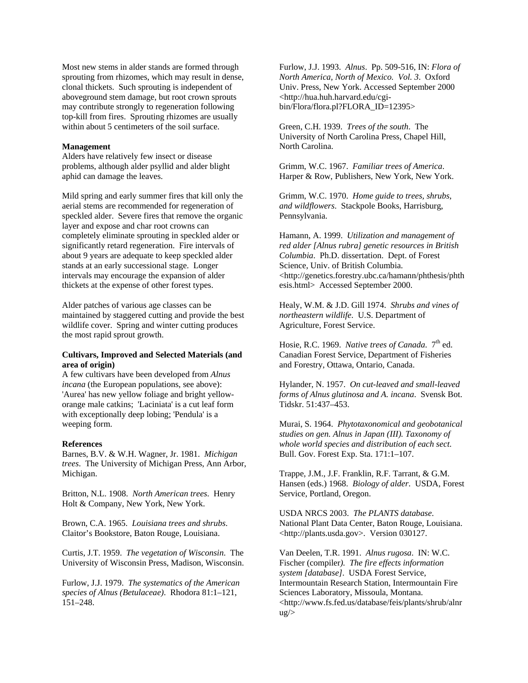Most new stems in alder stands are formed through sprouting from rhizomes, which may result in dense, clonal thickets. Such sprouting is independent of aboveground stem damage, but root crown sprouts may contribute strongly to regeneration following top-kill from fires. Sprouting rhizomes are usually within about 5 centimeters of the soil surface.

#### **Management**

Alders have relatively few insect or disease problems, although alder psyllid and alder blight aphid can damage the leaves.

Mild spring and early summer fires that kill only the aerial stems are recommended for regeneration of speckled alder. Severe fires that remove the organic layer and expose and char root crowns can completely eliminate sprouting in speckled alder or significantly retard regeneration. Fire intervals of about 9 years are adequate to keep speckled alder stands at an early successional stage. Longer intervals may encourage the expansion of alder thickets at the expense of other forest types.

Alder patches of various age classes can be maintained by staggered cutting and provide the best wildlife cover. Spring and winter cutting produces the most rapid sprout growth.

# **Cultivars, Improved and Selected Materials (and area of origin)**

A few cultivars have been developed from *Alnus incana* (the European populations, see above): 'Aurea' has new yellow foliage and bright yelloworange male catkins; 'Laciniata' is a cut leaf form with exceptionally deep lobing; 'Pendula' is a weeping form.

#### **References**

Barnes, B.V. & W.H. Wagner, Jr. 1981. *Michigan trees*. The University of Michigan Press, Ann Arbor, Michigan.

Britton, N.L. 1908. *North American trees*. Henry Holt & Company, New York, New York.

Brown, C.A. 1965. *Louisiana trees and shrubs*. Claitor's Bookstore, Baton Rouge, Louisiana.

Curtis, J.T. 1959. *The vegetation of Wisconsin*. The University of Wisconsin Press, Madison, Wisconsin.

Furlow, J.J. 1979. *The systematics of the American species of Alnus (Betulaceae)*. Rhodora 81:1–121, 151–248.

Furlow, J.J. 1993. *Alnus*. Pp. 509-516, IN: *Flora of North America, North of Mexico. Vol. 3*. Oxford Univ. Press, New York. Accessed September 2000 <http://hua.huh.harvard.edu/cgibin/Flora/flora.pl?FLORA\_ID=12395>

Green, C.H. 1939. *Trees of the south*. The University of North Carolina Press, Chapel Hill, North Carolina.

Grimm, W.C. 1967. *Familiar trees of America*. Harper & Row, Publishers, New York, New York.

Grimm, W.C. 1970. *Home guide to trees, shrubs, and wildflowers*. Stackpole Books, Harrisburg, Pennsylvania.

Hamann, A. 1999. *Utilization and management of red alder [Alnus rubra] genetic resources in British Columbia*. Ph.D. dissertation. Dept. of Forest Science, Univ. of British Columbia. <http://genetics.forestry.ubc.ca/hamann/phthesis/phth esis.html> Accessed September 2000.

Healy, W.M. & J.D. Gill 1974. *Shrubs and vines of northeastern wildlife*. U.S. Department of Agriculture, Forest Service.

Hosie, R.C. 1969. *Native trees of Canada*. 7<sup>th</sup> ed. Canadian Forest Service, Department of Fisheries and Forestry, Ottawa, Ontario, Canada.

Hylander, N. 1957. *On cut-leaved and small-leaved forms of Alnus glutinosa and A. incana*. Svensk Bot. Tidskr. 51:437–453.

Murai, S. 1964. *Phytotaxonomical and geobotanical studies on gen. Alnus in Japan (III). Taxonomy of whole world species and distribution of each sect*. Bull. Gov. Forest Exp. Sta. 171:1–107.

Trappe, J.M., J.F. Franklin, R.F. Tarrant, & G.M. Hansen (eds.) 1968. *Biology of alder*. USDA, Forest Service, Portland, Oregon.

USDA NRCS 2003. *The PLANTS database*. National Plant Data Center, Baton Rouge, Louisiana. <http://plants.usda.gov>. Version 030127.

Van Deelen, T.R. 1991. *Alnus rugosa*. IN: W.C. Fischer (compiler*). The fire effects information system [database]*. USDA Forest Service, Intermountain Research Station, Intermountain Fire Sciences Laboratory, Missoula, Montana. <http://www.fs.fed.us/database/feis/plants/shrub/alnr  $ug$ />